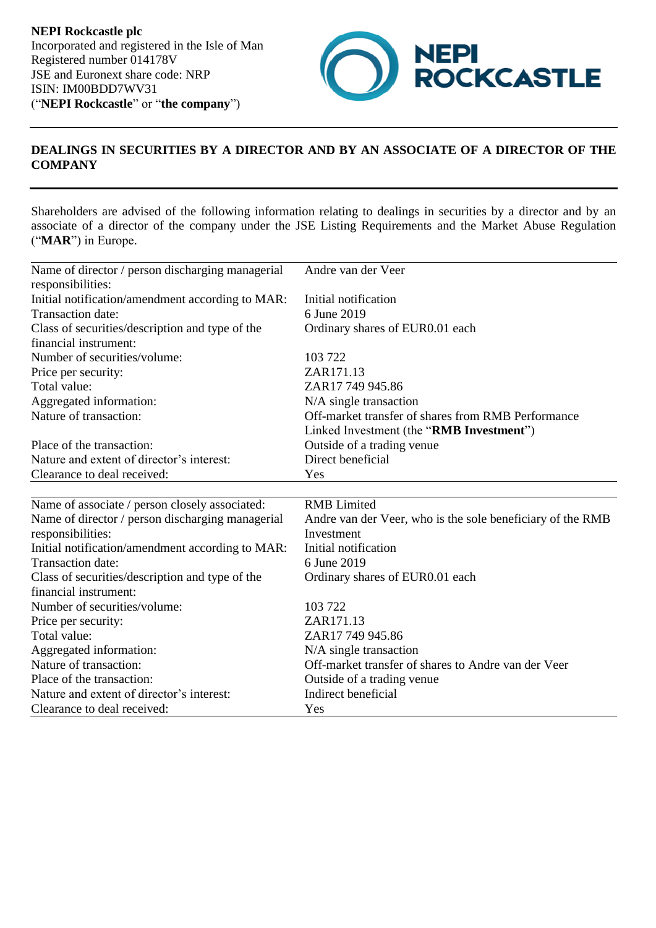**NEPI Rockcastle plc** Incorporated and registered in the Isle of Man Registered number 014178V JSE and Euronext share code: NRP ISIN: IM00BDD7WV31 ("**NEPI Rockcastle**" or "**the company**")



## **DEALINGS IN SECURITIES BY A DIRECTOR AND BY AN ASSOCIATE OF A DIRECTOR OF THE COMPANY**

Shareholders are advised of the following information relating to dealings in securities by a director and by an associate of a director of the company under the JSE Listing Requirements and the Market Abuse Regulation ("**MAR**") in Europe.

| Name of director / person discharging managerial<br>responsibilities: | Andre van der Veer                                         |
|-----------------------------------------------------------------------|------------------------------------------------------------|
| Initial notification/amendment according to MAR:                      | Initial notification                                       |
| Transaction date:                                                     | 6 June 2019                                                |
| Class of securities/description and type of the                       | Ordinary shares of EUR0.01 each                            |
| financial instrument:                                                 |                                                            |
| Number of securities/volume:                                          | 103 722                                                    |
| Price per security:                                                   | ZAR171.13                                                  |
| Total value:                                                          | ZAR17 749 945.86                                           |
| Aggregated information:                                               | N/A single transaction                                     |
| Nature of transaction:                                                | Off-market transfer of shares from RMB Performance         |
|                                                                       | Linked Investment (the "RMB Investment")                   |
| Place of the transaction:                                             | Outside of a trading venue                                 |
| Nature and extent of director's interest:                             | Direct beneficial                                          |
| Clearance to deal received:                                           | Yes                                                        |
| Name of associate / person closely associated:                        | <b>RMB</b> Limited                                         |
| Name of director / person discharging managerial                      | Andre van der Veer, who is the sole beneficiary of the RMB |
| responsibilities:                                                     | Investment                                                 |
| Initial notification/amendment according to MAR:                      | Initial notification                                       |
| Transaction date:                                                     | 6 June 2019                                                |
| Class of securities/description and type of the                       | Ordinary shares of EUR0.01 each                            |
| financial instrument:                                                 |                                                            |
| Number of securities/volume:                                          | 103 722                                                    |
| Price per security:                                                   | ZAR171.13                                                  |
| Total value:                                                          | ZAR17 749 945.86                                           |
| Aggregated information:                                               | N/A single transaction                                     |
| Nature of transaction:                                                | Off-market transfer of shares to Andre van der Veer        |
| Place of the transaction:                                             | Outside of a trading venue                                 |
| Nature and extent of director's interest:                             | Indirect beneficial                                        |
| Clearance to deal received:                                           | Yes                                                        |